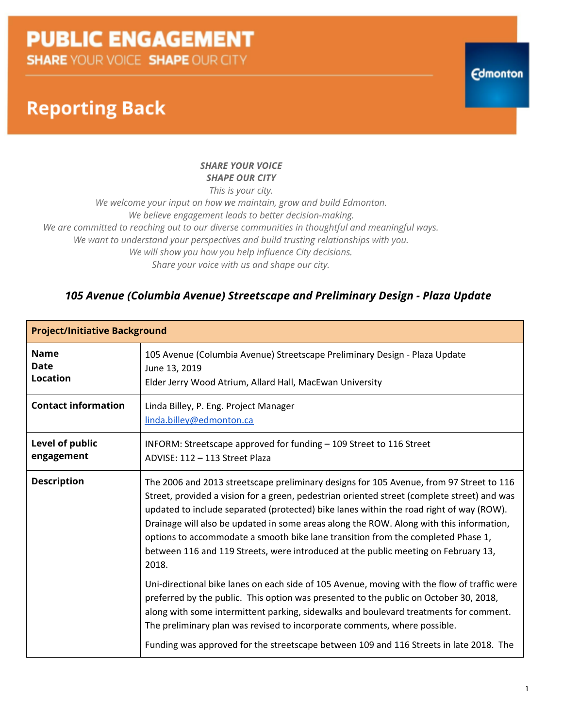**Reporting Back** 

### *SHARE YOUR VOICE SHAPE OUR CITY*

*This is your city.*

*We welcome your input on how we maintain, grow and build Edmonton. We believe engagement leads to better decision-making. We are committed to reaching out to our diverse communities in thoughtful and meaningful ways. We want to understand your perspectives and build trusting relationships with you. We will show you how you help influence City decisions. Share your voice with us and shape our city.*

### *105 Avenue (Columbia Avenue) Streetscape and Preliminary Design - Plaza Update*

| <b>Project/Initiative Background</b>          |                                                                                                                                                                                                                                                                                                                                                                                                                                                                                                                                                                 |  |  |  |  |  |
|-----------------------------------------------|-----------------------------------------------------------------------------------------------------------------------------------------------------------------------------------------------------------------------------------------------------------------------------------------------------------------------------------------------------------------------------------------------------------------------------------------------------------------------------------------------------------------------------------------------------------------|--|--|--|--|--|
| <b>Name</b><br><b>Date</b><br><b>Location</b> | 105 Avenue (Columbia Avenue) Streetscape Preliminary Design - Plaza Update<br>June 13, 2019<br>Elder Jerry Wood Atrium, Allard Hall, MacEwan University                                                                                                                                                                                                                                                                                                                                                                                                         |  |  |  |  |  |
| <b>Contact information</b>                    | Linda Billey, P. Eng. Project Manager<br>linda.billey@edmonton.ca                                                                                                                                                                                                                                                                                                                                                                                                                                                                                               |  |  |  |  |  |
| Level of public<br>engagement                 | INFORM: Streetscape approved for funding - 109 Street to 116 Street<br>ADVISE: 112 - 113 Street Plaza                                                                                                                                                                                                                                                                                                                                                                                                                                                           |  |  |  |  |  |
| <b>Description</b>                            | The 2006 and 2013 streetscape preliminary designs for 105 Avenue, from 97 Street to 116<br>Street, provided a vision for a green, pedestrian oriented street (complete street) and was<br>updated to include separated (protected) bike lanes within the road right of way (ROW).<br>Drainage will also be updated in some areas along the ROW. Along with this information,<br>options to accommodate a smooth bike lane transition from the completed Phase 1,<br>between 116 and 119 Streets, were introduced at the public meeting on February 13,<br>2018. |  |  |  |  |  |
|                                               | Uni-directional bike lanes on each side of 105 Avenue, moving with the flow of traffic were<br>preferred by the public. This option was presented to the public on October 30, 2018,<br>along with some intermittent parking, sidewalks and boulevard treatments for comment.<br>The preliminary plan was revised to incorporate comments, where possible.<br>Funding was approved for the streetscape between 109 and 116 Streets in late 2018. The                                                                                                            |  |  |  |  |  |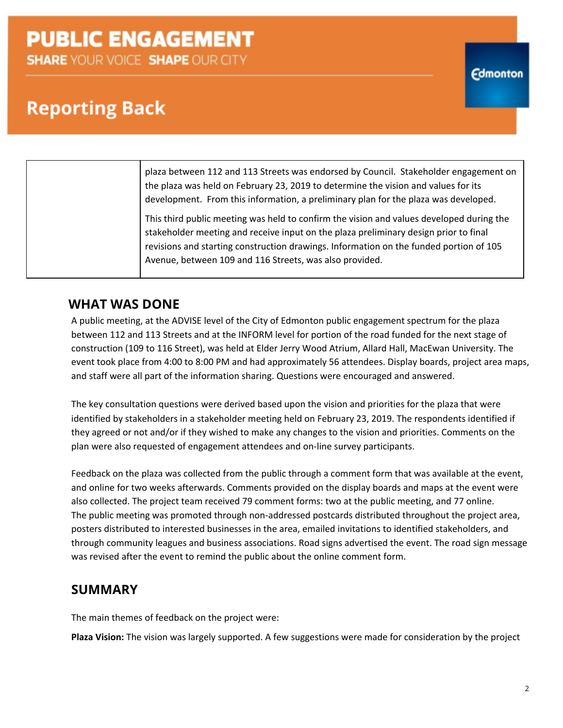# **Reporting Back**

plaza between 112 and 113 Streets was endorsed by Council. Stakeholder engagement on the plaza was held on February 23, 2019 to determine the vision and values for its development. From this information, a preliminary plan for the plaza was developed.

This third public meeting was held to confirm the vision and values developed during the stakeholder meeting and receive input on the plaza preliminary design prior to final revisions and starting construction drawings. Information on the funded portion of 105 Avenue, between 109 and 116 Streets, was also provided.

## **WHAT WAS DONE**

A public meeting, at the ADVISE level of the City of Edmonton public engagement spectrum for the plaza between 112 and 113 Streets and at the INFORM level for portion of the road funded for the next stage of construction (109 to 116 Street), was held at Elder Jerry Wood Atrium, Allard Hall, MacEwan University. The event took place from 4:00 to 8:00 PM and had approximately 56 attendees. Display boards, project area maps, and staff were all part of the information sharing. Questions were encouraged and answered.

The key consultation questions were derived based upon the vision and priorities for the plaza that were identified by stakeholders in a stakeholder meeting held on February 23, 2019. The respondents identified if they agreed or not and/or if they wished to make any changes to the vision and priorities. Comments on the plan were also requested of engagement attendees and on-line survey participants.

Feedback on the plaza was collected from the public through a comment form that was available at the event, and online for two weeks afterwards. Comments provided on the display boards and maps at the event were also collected. The project team received 79 comment forms: two at the public meeting, and 77 online. The public meeting was promoted through non-addressed postcards distributed throughout the project area, posters distributed to interested businesses in the area, emailed invitations to identified stakeholders, and through community leagues and business associations. Road signs advertised the event. The road sign message was revised after the event to remind the public about the online comment form.

### **SUMMARY**

The main themes of feedback on the project were:

**Plaza Vision:** The vision was largely supported. A few suggestions were made for consideration by the project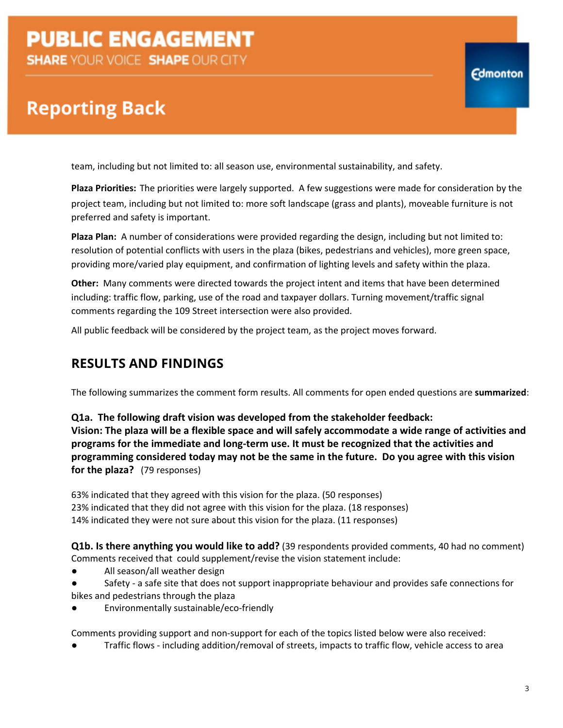# **Reporting Back**

team, including but not limited to: all season use, environmental sustainability, and safety.

**Plaza Priorities:** The priorities were largely supported. A few suggestions were made for consideration by the project team, including but not limited to: more soft landscape (grass and plants), moveable furniture is not preferred and safety is important.

**Plaza Plan:** A number of considerations were provided regarding the design, including but not limited to: resolution of potential conflicts with users in the plaza (bikes, pedestrians and vehicles), more green space, providing more/varied play equipment, and confirmation of lighting levels and safety within the plaza.

**Other:** Many comments were directed towards the project intent and items that have been determined including: traffic flow, parking, use of the road and taxpayer dollars. Turning movement/traffic signal comments regarding the 109 Street intersection were also provided.

All public feedback will be considered by the project team, as the project moves forward.

## **RESULTS AND FINDINGS**

The following summarizes the comment form results. All comments for open ended questions are **summarized**:

**Q1a. The following draft vision was developed from the stakeholder feedback: Vision: The plaza will be a flexible space and will safely accommodate a wide range of activities and programs for the immediate and long-term use. It must be recognized that the activities and programming considered today may not be the same in the future. Do you agree with this vision for the plaza?** (79 responses)

63% indicated that they agreed with this vision for the plaza. (50 responses) 23% indicated that they did not agree with this vision for the plaza. (18 responses) 14% indicated they were not sure about this vision for the plaza. (11 responses)

**Q1b. Is there anything you would like to add?** (39 respondents provided comments, 40 had no comment) Comments received that could supplement/revise the vision statement include:

- All season/all weather design
- Safety a safe site that does not support inappropriate behaviour and provides safe connections for bikes and pedestrians through the plaza
- Environmentally sustainable/eco-friendly

Comments providing support and non-support for each of the topics listed below were also received:

Traffic flows - including addition/removal of streets, impacts to traffic flow, vehicle access to area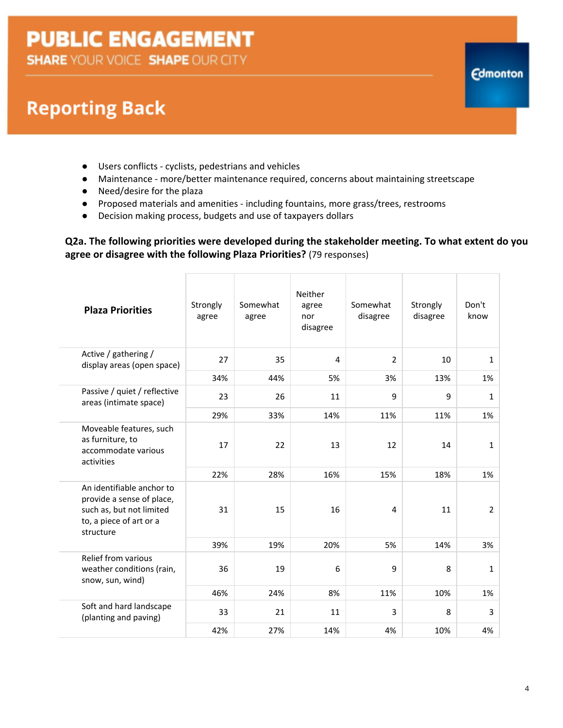# **Reporting Back**

- Users conflicts cyclists, pedestrians and vehicles
- Maintenance more/better maintenance required, concerns about maintaining streetscape
- Need/desire for the plaza
- Proposed materials and amenities including fountains, more grass/trees, restrooms
- Decision making process, budgets and use of taxpayers dollars

**Q2a. The following priorities were developed during the stakeholder meeting. To what extent do you agree or disagree with the following Plaza Priorities?** (79 responses)

| <b>Plaza Priorities</b>                                                                                                    | Strongly<br>agree | Somewhat<br>agree | Neither<br>agree<br>nor<br>disagree | Somewhat<br>disagree | Strongly<br>disagree | Don't<br>know  |
|----------------------------------------------------------------------------------------------------------------------------|-------------------|-------------------|-------------------------------------|----------------------|----------------------|----------------|
| Active / gathering /<br>display areas (open space)                                                                         | 27                | 35                | 4                                   | $\overline{2}$       | 10                   | $\mathbf{1}$   |
|                                                                                                                            | 34%               | 44%               | 5%                                  | 3%                   | 13%                  | 1%             |
| Passive / quiet / reflective<br>areas (intimate space)                                                                     | 23                | 26                | 11                                  | 9                    | 9                    | $\mathbf{1}$   |
|                                                                                                                            | 29%               | 33%               | 14%                                 | 11%                  | 11%                  | 1%             |
| Moveable features, such<br>as furniture, to<br>accommodate various<br>activities                                           | 17                | 22                | 13                                  | 12                   | 14                   | $\mathbf{1}$   |
|                                                                                                                            | 22%               | 28%               | 16%                                 | 15%                  | 18%                  | 1%             |
| An identifiable anchor to<br>provide a sense of place,<br>such as, but not limited<br>to, a piece of art or a<br>structure | 31                | 15                | 16                                  | 4                    | 11                   | $\overline{2}$ |
|                                                                                                                            | 39%               | 19%               | 20%                                 | 5%                   | 14%                  | 3%             |
| Relief from various<br>weather conditions (rain,<br>snow, sun, wind)                                                       | 36                | 19                | 6                                   | 9                    | 8                    | $\mathbf{1}$   |
|                                                                                                                            | 46%               | 24%               | 8%                                  | 11%                  | 10%                  | 1%             |
| Soft and hard landscape<br>(planting and paving)                                                                           | 33                | 21                | 11                                  | 3                    | 8                    | 3              |
|                                                                                                                            | 42%               | 27%               | 14%                                 | 4%                   | 10%                  | 4%             |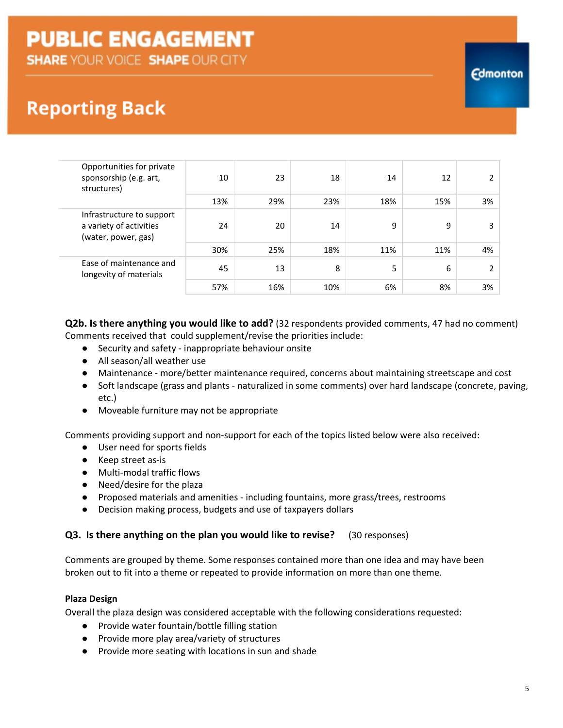# **Reporting Back**

| Opportunities for private<br>sponsorship (e.g. art,<br>structures)          | 10  | 23  | 18  | 14  | 12  |    |
|-----------------------------------------------------------------------------|-----|-----|-----|-----|-----|----|
|                                                                             | 13% | 29% | 23% | 18% | 15% | 3% |
| Infrastructure to support<br>a variety of activities<br>(water, power, gas) | 24  | 20  | 14  | 9   | 9   | 3  |
|                                                                             | 30% | 25% | 18% | 11% | 11% | 4% |
| Ease of maintenance and<br>longevity of materials                           | 45  | 13  | 8   | 5   | 6   |    |
|                                                                             | 57% | 16% | 10% | 6%  | 8%  | 3% |

**Q2b. Is there anything you would like to add?** (32 respondents provided comments, 47 had no comment) Comments received that could supplement/revise the priorities include:

- Security and safety inappropriate behaviour onsite
- All season/all weather use
- Maintenance more/better maintenance required, concerns about maintaining streetscape and cost
- Soft landscape (grass and plants naturalized in some comments) over hard landscape (concrete, paving, etc.)
- Moveable furniture may not be appropriate

Comments providing support and non-support for each of the topics listed below were also received:

- User need for sports fields
- Keep street as-is
- Multi-modal traffic flows
- Need/desire for the plaza
- Proposed materials and amenities including fountains, more grass/trees, restrooms
- Decision making process, budgets and use of taxpayers dollars

#### **Q3. Is there anything on the plan you would like to revise?** (30 responses)

Comments are grouped by theme. Some responses contained more than one idea and may have been broken out to fit into a theme or repeated to provide information on more than one theme.

#### **Plaza Design**

Overall the plaza design was considered acceptable with the following considerations requested:

- Provide water fountain/bottle filling station
- Provide more play area/variety of structures
- Provide more seating with locations in sun and shade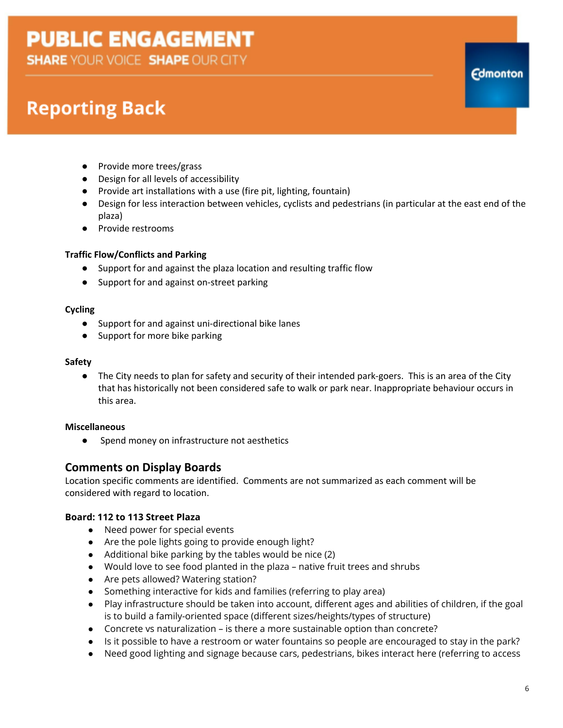# **Reporting Back**

- Provide more trees/grass
- Design for all levels of accessibility
- Provide art installations with a use (fire pit, lighting, fountain)
- Design for less interaction between vehicles, cyclists and pedestrians (in particular at the east end of the plaza)
- Provide restrooms

### **Traffic Flow/Conflicts and Parking**

- Support for and against the plaza location and resulting traffic flow
- Support for and against on-street parking

#### **Cycling**

- Support for and against uni-directional bike lanes
- Support for more bike parking

#### **Safety**

● The City needs to plan for safety and security of their intended park-goers. This is an area of the City that has historically not been considered safe to walk or park near. Inappropriate behaviour occurs in this area.

#### **Miscellaneous**

● Spend money on infrastructure not aesthetics

### **Comments on Display Boards**

Location specific comments are identified. Comments are not summarized as each comment will be considered with regard to location.

### **Board: 112 to 113 Street Plaza**

- Need power for special events
- Are the pole lights going to provide enough light?
- Additional bike parking by the tables would be nice (2)
- Would love to see food planted in the plaza native fruit trees and shrubs
- Are pets allowed? Watering station?
- Something interactive for kids and families (referring to play area)
- Play infrastructure should be taken into account, different ages and abilities of children, if the goal is to build a family-oriented space (different sizes/heights/types of structure)
- Concrete vs naturalization is there a more sustainable option than concrete?
- Is it possible to have a restroom or water fountains so people are encouraged to stay in the park?
- Need good lighting and signage because cars, pedestrians, bikes interact here (referring to access